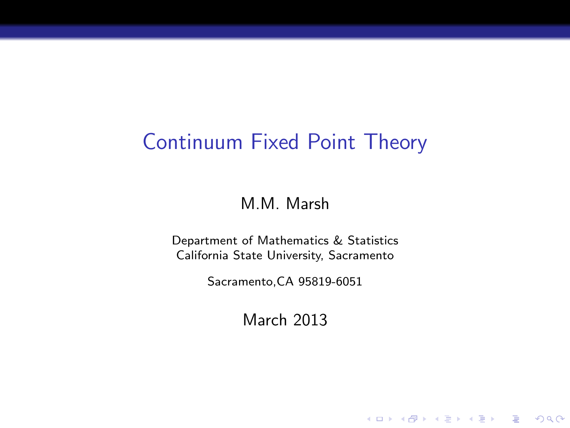# Continuum Fixed Point Theory

M.M. Marsh

Department of Mathematics & Statistics California State University, Sacramento

Sacramento,CA 95819-6051

March 2013

K ロ ▶ K @ ▶ K 할 ▶ K 할 ▶ | 할 | © 9 Q @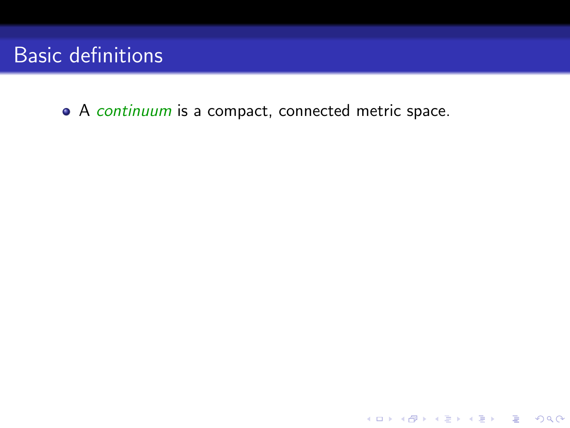• A continuum is a compact, connected metric space.

K ロ ▶ K @ ▶ K 할 ▶ K 할 ▶ | 할 | © 9 Q @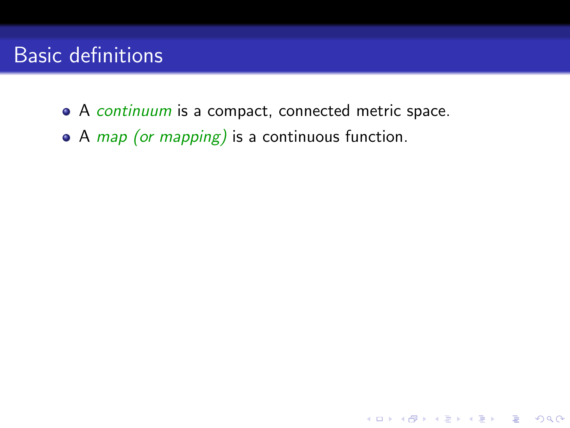• A continuum is a compact, connected metric space.

**K ロ ▶ K @ ▶ K 할 X X 할 X → 할 X → 9 Q Q ^** 

 $\bullet$  A *map (or mapping)* is a continuous function.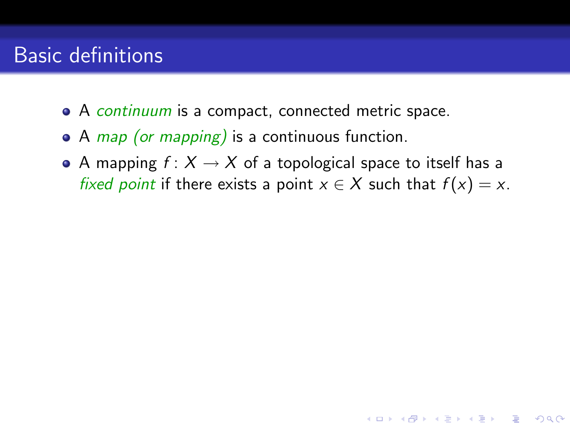- A continuum is a compact, connected metric space.
- $\bullet$  A *map (or mapping)* is a continuous function.
- A mapping  $f: X \to X$  of a topological space to itself has a fixed point if there exists a point  $x \in X$  such that  $f(x) = x$ .

**KORKA SERKER ORA**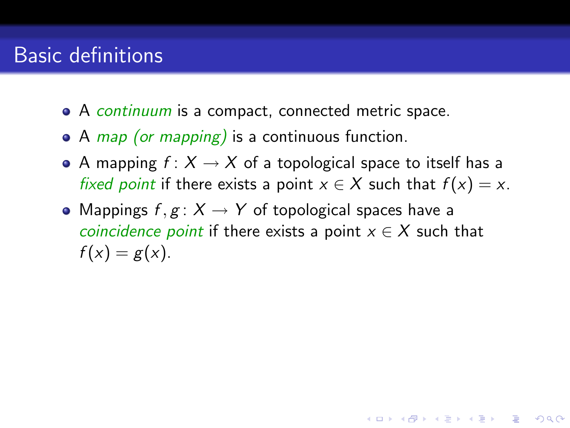- A continuum is a compact, connected metric space.
- $\bullet$  A *map (or mapping)* is a continuous function.
- A mapping  $f: X \to X$  of a topological space to itself has a fixed point if there exists a point  $x \in X$  such that  $f(x) = x$ .
- Mappings  $f, g: X \to Y$  of topological spaces have a *coincidence point* if there exists a point  $x \in X$  such that  $f(x) = g(x)$ .

**KORKAR KERKER E VOOR**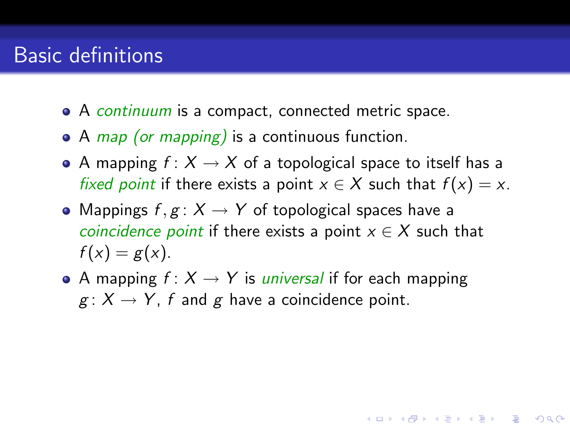- A continuum is a compact, connected metric space.
- $\bullet$  A *map (or mapping)* is a continuous function.
- A mapping  $f: X \to X$  of a topological space to itself has a fixed point if there exists a point  $x \in X$  such that  $f(x) = x$ .
- Mappings  $f, g: X \to Y$  of topological spaces have a *coincidence point* if there exists a point  $x \in X$  such that  $f(x) = g(x)$ .
- A mapping  $f: X \rightarrow Y$  is *universal* if for each mapping  $g: X \to Y$ , f and g have a coincidence point.

**KORKA SERKER ORA**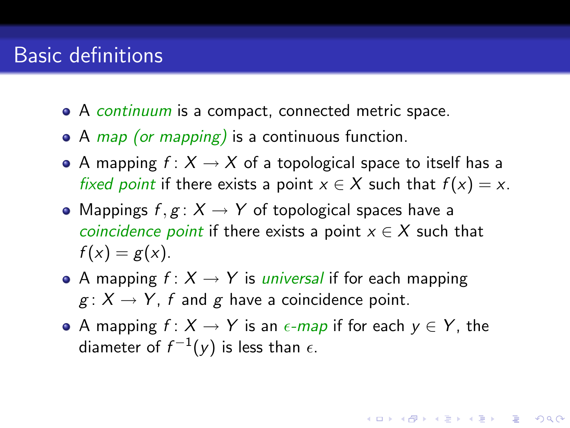- A continuum is a compact, connected metric space.
- $\bullet$  A *map (or mapping)* is a continuous function.
- A mapping  $f: X \to X$  of a topological space to itself has a fixed point if there exists a point  $x \in X$  such that  $f(x) = x$ .
- Mappings  $f, g: X \to Y$  of topological spaces have a *coincidence point* if there exists a point  $x \in X$  such that  $f(x) = g(x)$ .
- A mapping  $f: X \rightarrow Y$  is *universal* if for each mapping  $g: X \to Y$ , f and g have a coincidence point.
- A mapping  $f: X \to Y$  is an  $\epsilon$ -map if for each  $y \in Y$ , the diameter of  $f^{-1}(y)$  is less than  $\epsilon$ .

**KORKAR KERKER E VOOR**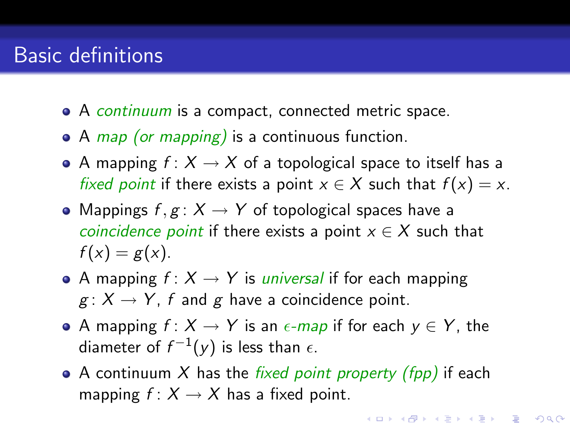- A continuum is a compact, connected metric space.
- $\bullet$  A *map (or mapping)* is a continuous function.
- A mapping  $f: X \to X$  of a topological space to itself has a fixed point if there exists a point  $x \in X$  such that  $f(x) = x$ .
- Mappings  $f, g: X \to Y$  of topological spaces have a *coincidence point* if there exists a point  $x \in X$  such that  $f(x) = g(x)$ .
- A mapping  $f: X \rightarrow Y$  is *universal* if for each mapping  $g: X \to Y$ , f and g have a coincidence point.
- A mapping  $f: X \to Y$  is an  $\epsilon$ -map if for each  $y \in Y$ , the diameter of  $f^{-1}(y)$  is less than  $\epsilon$ .
- A continuum X has the *fixed point property (fpp)* if each mapping  $f: X \rightarrow X$  has a fixed point.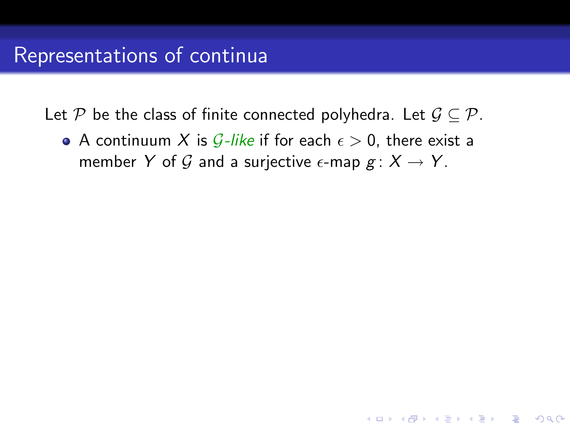• A continuum X is G-like if for each  $\epsilon > 0$ , there exist a member Y of G and a surjective  $\epsilon$ -map  $g: X \to Y$ .

**KORKA SERKER ORA**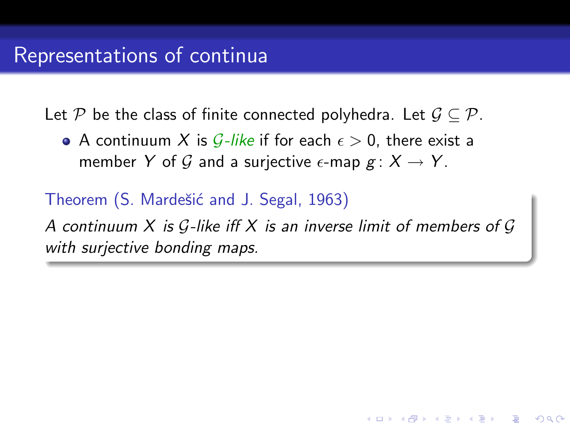• A continuum X is G-like if for each  $\epsilon > 0$ , there exist a member Y of G and a surjective  $\epsilon$ -map  $g: X \to Y$ .

Theorem (S. Mardešić and J. Segal, 1963)

A continuum  $X$  is  $G$ -like iff  $X$  is an inverse limit of members of  $G$ with surjective bonding maps.

**KOD KAR KED KED E YORA**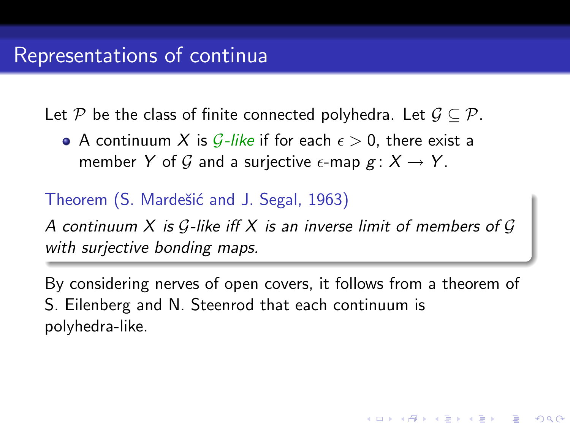• A continuum X is G-like if for each  $\epsilon > 0$ , there exist a member Y of G and a surjective  $\epsilon$ -map  $g: X \to Y$ .

Theorem (S. Mardešić and J. Segal, 1963)

A continuum X is  $G$ -like iff X is an inverse limit of members of  $G$ with surjective bonding maps.

By considering nerves of open covers, it follows from a theorem of S. Eilenberg and N. Steenrod that each continuum is polyhedra-like.

**KORKA SERKER ORA**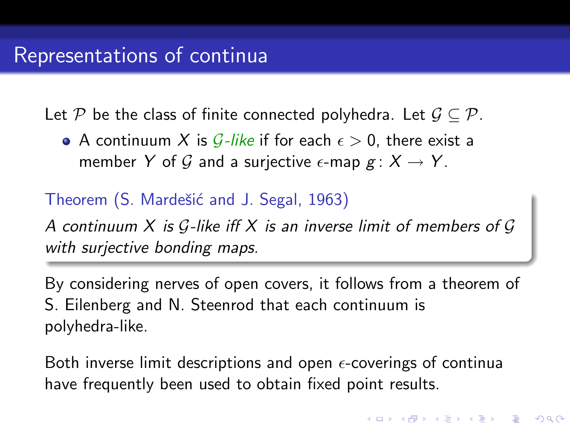• A continuum X is G-like if for each  $\epsilon > 0$ , there exist a member Y of G and a surjective  $\epsilon$ -map  $g: X \to Y$ .

Theorem (S. Mardešić and J. Segal, 1963)

A continuum  $X$  is  $G$ -like iff  $X$  is an inverse limit of members of  $G$ with surjective bonding maps.

By considering nerves of open covers, it follows from a theorem of S. Eilenberg and N. Steenrod that each continuum is polyhedra-like.

Both inverse limit descriptions and open  $\epsilon$ -coverings of continua have frequently been used to obtain fixed point results.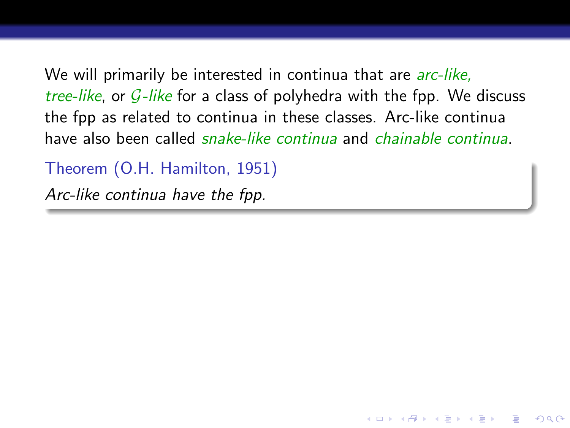We will primarily be interested in continua that are *arc-like*, tree-like, or  $G$ -like for a class of polyhedra with the fpp. We discuss the fpp as related to continua in these classes. Arc-like continua have also been called snake-like continua and chainable continua.

**KORKA SERKER ORA** 

Theorem (O.H. Hamilton, 1951)

Arc-like continua have the fpp.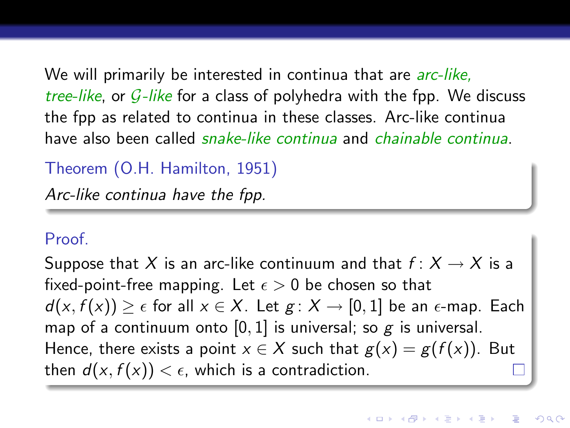We will primarily be interested in continua that are *arc-like*, tree-like, or  $G$ -like for a class of polyhedra with the fpp. We discuss the fpp as related to continua in these classes. Arc-like continua have also been called snake-like continua and chainable continua.

Theorem (O.H. Hamilton, 1951)

Arc-like continua have the fpp.

#### Proof.

Suppose that X is an arc-like continuum and that  $f: X \to X$  is a fixed-point-free mapping. Let  $\epsilon > 0$  be chosen so that  $d(x, f(x)) > \epsilon$  for all  $x \in X$ . Let  $g: X \to [0, 1]$  be an  $\epsilon$ -map. Each map of a continuum onto  $[0, 1]$  is universal; so g is universal. Hence, there exists a point  $x \in X$  such that  $g(x) = g(f(x))$ . But then  $d(x, f(x)) < \epsilon$ , which is a contradiction.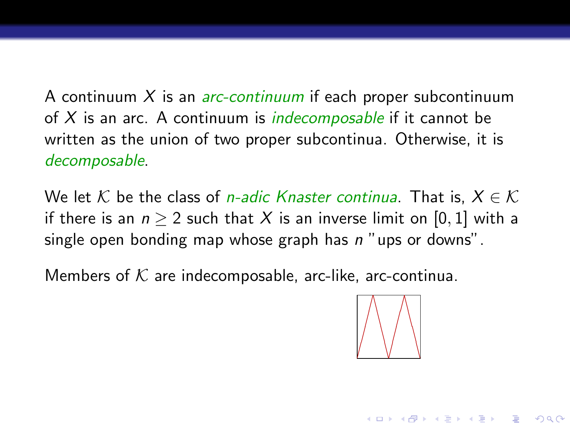A continuum  $X$  is an *arc-continuum* if each proper subcontinuum of X is an arc. A continuum is *indecomposable* if it cannot be written as the union of two proper subcontinua. Otherwise, it is decomposable.

We let K be the class of *n-adic Knaster continua*. That is,  $X \in \mathcal{K}$ if there is an  $n > 2$  such that X is an inverse limit on [0, 1] with a single open bonding map whose graph has  $n$  "ups or downs".

Members of  $K$  are indecomposable, arc-like, arc-continua.



**KORKA SERKER ORA**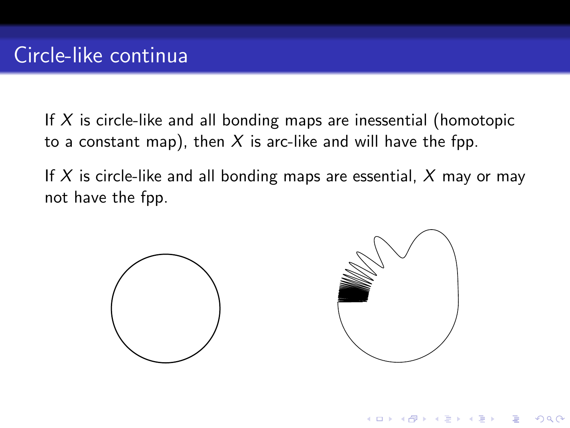If  $X$  is circle-like and all bonding maps are inessential (homotopic to a constant map), then  $X$  is arc-like and will have the fpp.

If X is circle-like and all bonding maps are essential,  $X$  may or may not have the fpp.



 $\left\{ \begin{array}{ccc} \pm & \pm & \pm \end{array} \right.$ 

 $2990$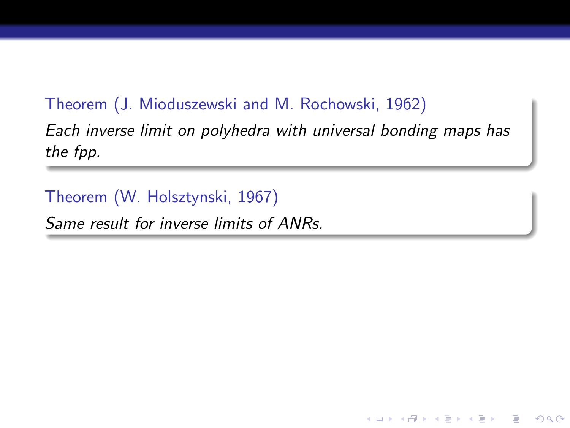#### Theorem (J. Mioduszewski and M. Rochowski, 1962)

Each inverse limit on polyhedra with universal bonding maps has the fpp.

K ロ ▶ K @ ▶ K 할 ▶ K 할 ▶ 이 할 → 9 Q @

Theorem (W. Holsztynski, 1967)

Same result for inverse limits of ANRs.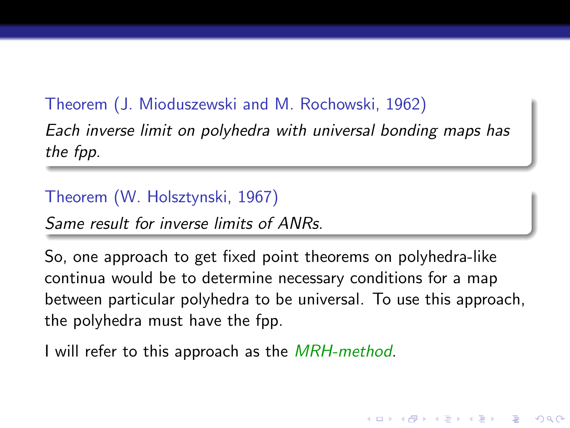### Theorem (J. Mioduszewski and M. Rochowski, 1962)

Each inverse limit on polyhedra with universal bonding maps has the fpp.

#### Theorem (W. Holsztynski, 1967)

Same result for inverse limits of ANRs.

So, one approach to get fixed point theorems on polyhedra-like continua would be to determine necessary conditions for a map between particular polyhedra to be universal. To use this approach, the polyhedra must have the fpp.

**KORKA SERKER ORA** 

I will refer to this approach as the *MRH-method*.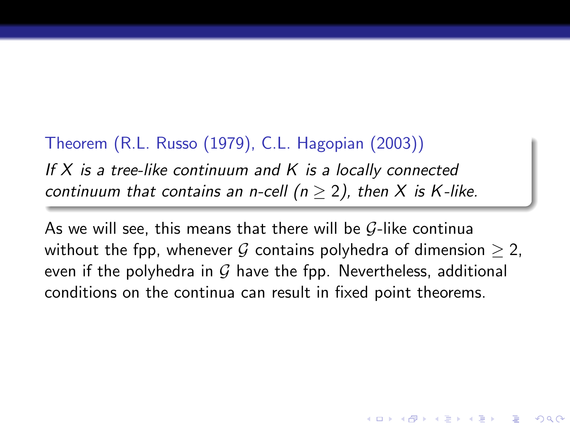### Theorem (R.L. Russo (1979), C.L. Hagopian (2003))

If  $X$  is a tree-like continuum and  $K$  is a locally connected continuum that contains an n-cell ( $n \geq 2$ ), then X is K-like.

As we will see, this means that there will be  $G$ -like continua without the fpp, whenever G contains polyhedra of dimension  $\geq 2$ , even if the polyhedra in  $G$  have the fpp. Nevertheless, additional conditions on the continua can result in fixed point theorems.

**KORKA SERKER ORA**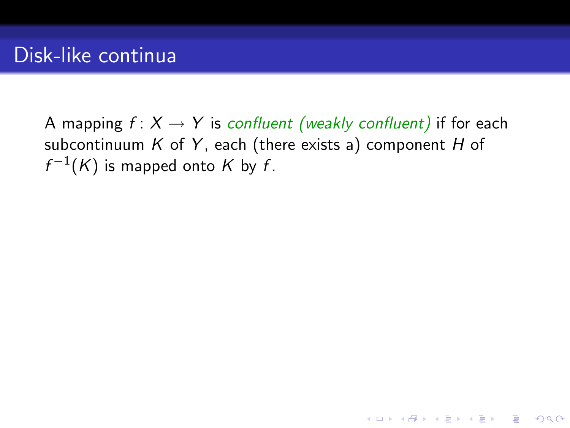A mapping  $f: X \rightarrow Y$  is confluent (weakly confluent) if for each subcontinuum  $K$  of  $Y$ , each (there exists a) component  $H$  of  $f^{-1}(K)$  is mapped onto  $K$  by  $f$ .

K ロ ▶ K @ ▶ K 할 > K 할 > 1 할 > 1 이익어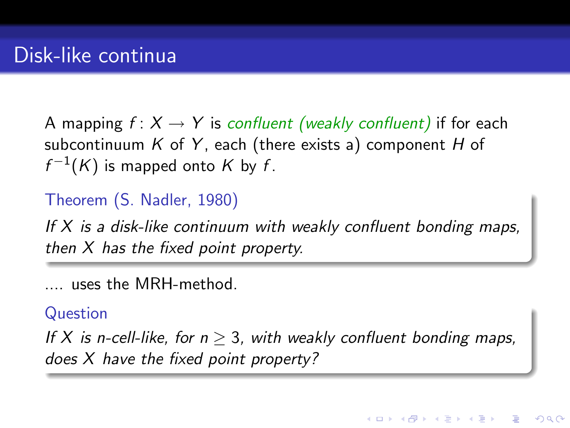A mapping  $f: X \to Y$  is confluent (weakly confluent) if for each subcontinuum  $K$  of  $Y$ , each (there exists a) component  $H$  of  $f^{-1}(K)$  is mapped onto  $K$  by  $f$ .

### Theorem (S. Nadler, 1980)

If  $X$  is a disk-like continuum with weakly confluent bonding maps, then X has the fixed point property.

.... uses the MRH-method.

#### Question

If X is n-cell-like, for  $n > 3$ , with weakly confluent bonding maps, does X have the fixed point property?

4 0 > 4 4 + 4 3 + 4 3 + 5 + 9 4 0 +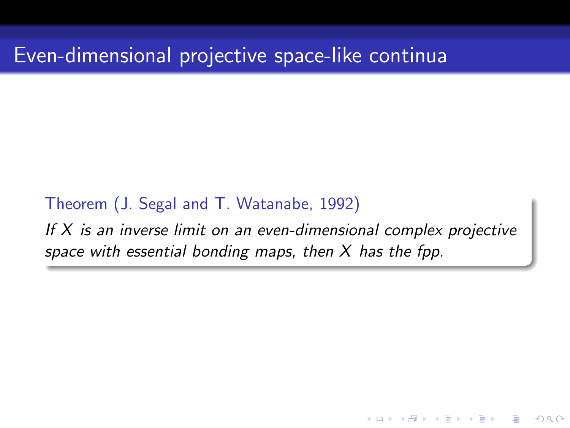Theorem (J. Segal and T. Watanabe, 1992)

If  $X$  is an inverse limit on an even-dimensional complex projective space with essential bonding maps, then  $X$  has the fpp.

**KORKA SERKER ORA**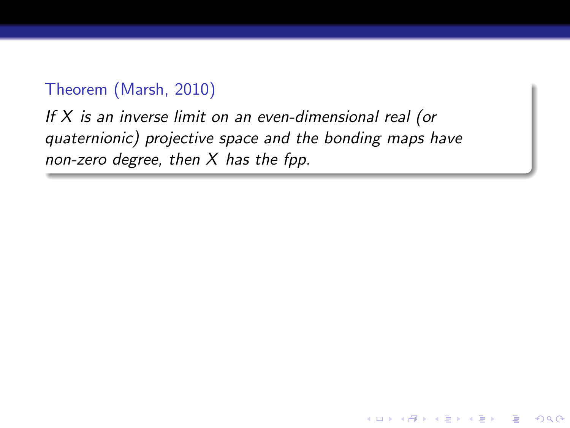#### Theorem (Marsh, 2010)

If  $X$  is an inverse limit on an even-dimensional real (or quaternionic) projective space and the bonding maps have non-zero degree, then  $X$  has the fpp.

**KORK ERKER ER AGA**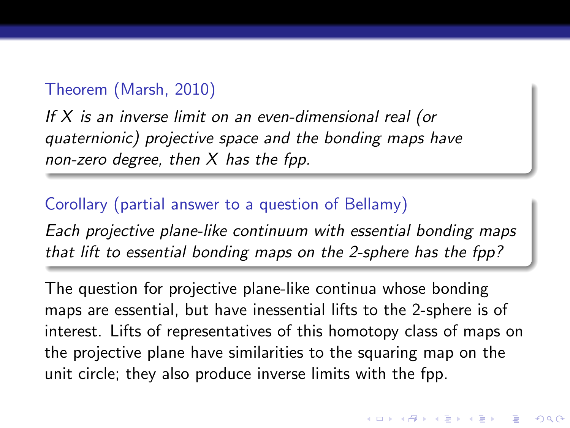#### Theorem (Marsh, 2010)

If X is an inverse limit on an even-dimensional real (or quaternionic) projective space and the bonding maps have non-zero degree, then  $X$  has the fpp.

#### Corollary (partial answer to a question of Bellamy)

Each projective plane-like continuum with essential bonding maps that lift to essential bonding maps on the 2-sphere has the fpp?

The question for projective plane-like continua whose bonding maps are essential, but have inessential lifts to the 2-sphere is of interest. Lifts of representatives of this homotopy class of maps on the projective plane have similarities to the squaring map on the unit circle; they also produce inverse limits with the fpp.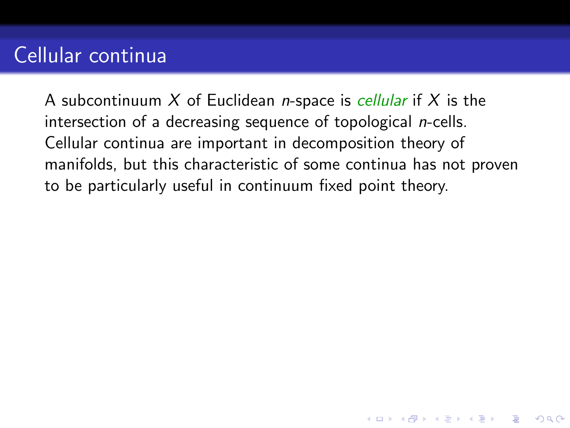# Cellular continua

A subcontinuum X of Euclidean *n*-space is *cellular* if X is the intersection of a decreasing sequence of topological n-cells. Cellular continua are important in decomposition theory of manifolds, but this characteristic of some continua has not proven to be particularly useful in continuum fixed point theory.

**KORKA SERKER ORA**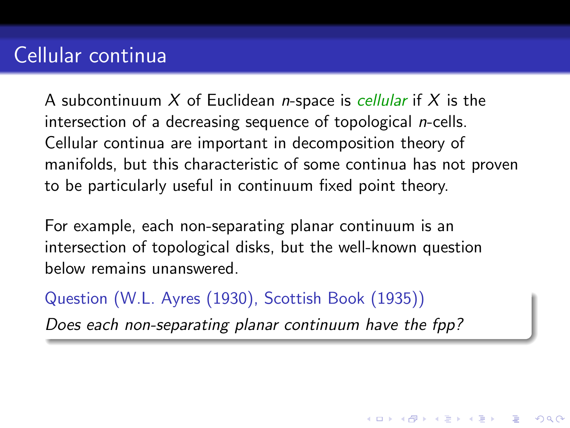# Cellular continua

A subcontinuum X of Euclidean *n*-space is *cellular* if X is the intersection of a decreasing sequence of topological n-cells. Cellular continua are important in decomposition theory of manifolds, but this characteristic of some continua has not proven to be particularly useful in continuum fixed point theory.

For example, each non-separating planar continuum is an intersection of topological disks, but the well-known question below remains unanswered.

Question (W.L. Ayres (1930), Scottish Book (1935))

Does each non-separating planar continuum have the fpp?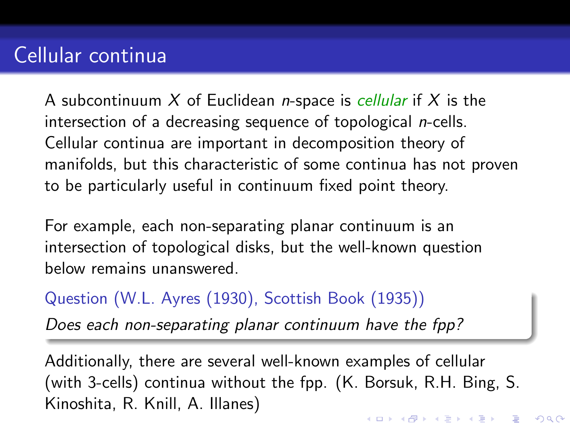A subcontinuum X of Euclidean *n*-space is *cellular* if X is the intersection of a decreasing sequence of topological n-cells. Cellular continua are important in decomposition theory of manifolds, but this characteristic of some continua has not proven to be particularly useful in continuum fixed point theory.

For example, each non-separating planar continuum is an intersection of topological disks, but the well-known question below remains unanswered.

Question (W.L. Ayres (1930), Scottish Book (1935))

Does each non-separating planar continuum have the fpp?

Additionally, there are several well-known examples of cellular (with 3-cells) continua without the fpp. (K. Borsuk, R.H. Bing, S. Kinoshita, R. Knill, A. Illanes)4 D > 4 P + 4 B + 4 B + B + 9 Q O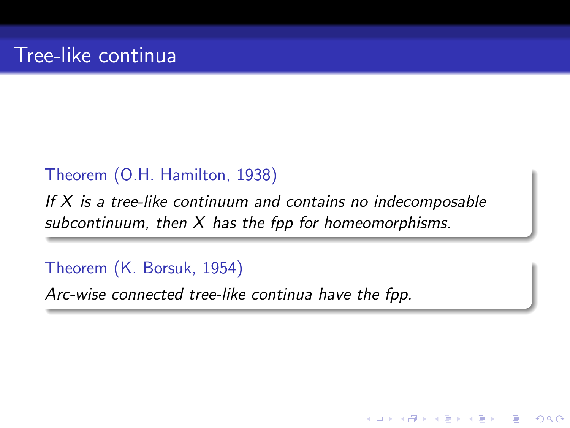#### Theorem (O.H. Hamilton, 1938)

If  $X$  is a tree-like continuum and contains no indecomposable subcontinuum, then  $X$  has the fpp for homeomorphisms.

**KORK ERKER ER AGA** 

Theorem (K. Borsuk, 1954)

Arc-wise connected tree-like continua have the fpp.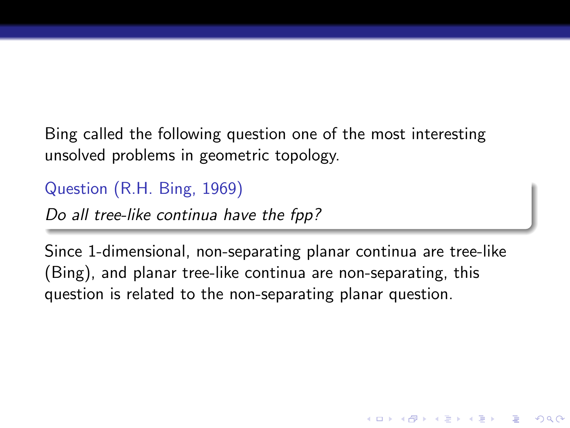Bing called the following question one of the most interesting unsolved problems in geometric topology.

Question (R.H. Bing, 1969)

Do all tree-like continua have the fpp?

Since 1-dimensional, non-separating planar continua are tree-like (Bing), and planar tree-like continua are non-separating, this question is related to the non-separating planar question.

**KORKA SERKER ORA**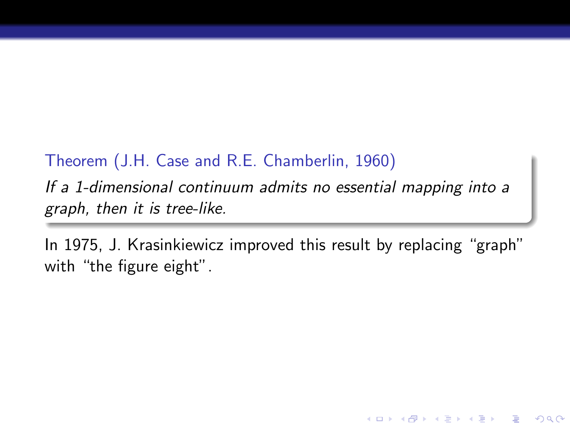#### Theorem (J.H. Case and R.E. Chamberlin, 1960)

If a 1-dimensional continuum admits no essential mapping into a graph, then it is tree-like.

In 1975, J. Krasinkiewicz improved this result by replacing "graph" with "the figure eight".

**KORK ERKER ER AGA**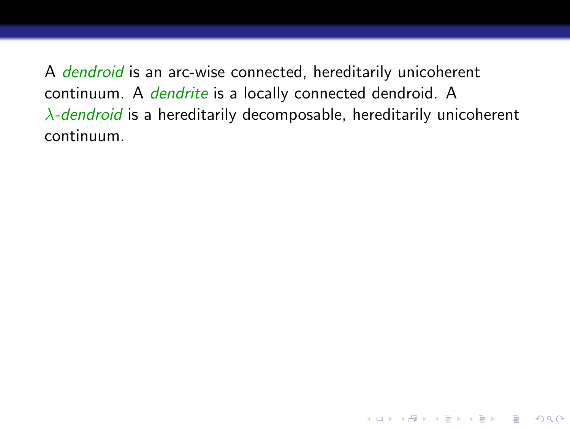A dendroid is an arc-wise connected, hereditarily unicoherent continuum. A *dendrite* is a locally connected dendroid. A  $\lambda$ -dendroid is a hereditarily decomposable, hereditarily unicoherent continuum.

**KORKA SERKER ORA**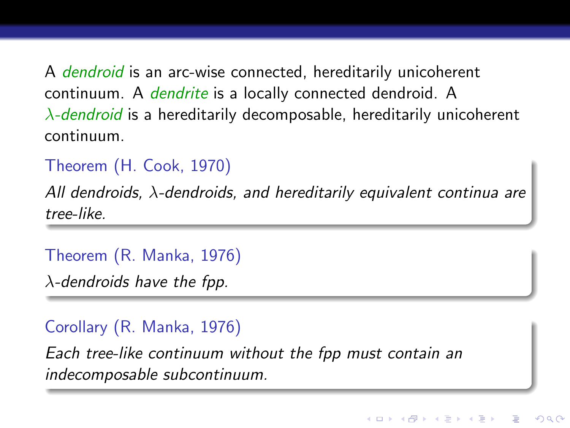A *dendroid* is an arc-wise connected, hereditarily unicoherent continuum. A *dendrite* is a locally connected dendroid. A  $\lambda$ -dendroid is a hereditarily decomposable, hereditarily unicoherent continuum.

Theorem (H. Cook, 1970)

All dendroids,  $\lambda$ -dendroids, and hereditarily equivalent continua are tree-like.

Theorem (R. Manka, 1976)

 $\lambda$ -dendroids have the fpp.

### Corollary (R. Manka, 1976)

Each tree-like continuum without the fpp must contain an indecomposable subcontinuum.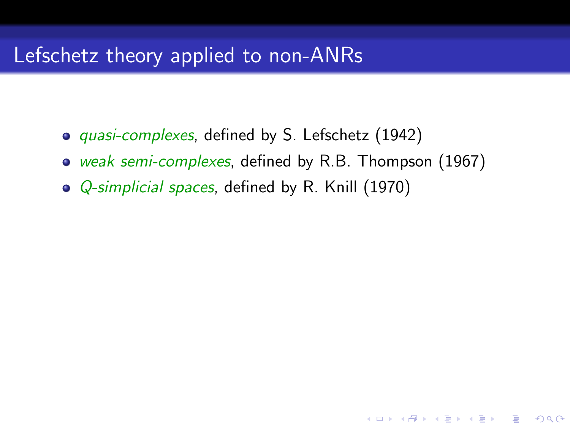## Lefschetz theory applied to non-ANRs

- *quasi-complexes*, defined by S. Lefschetz (1942)
- weak semi-complexes, defined by R.B. Thompson (1967)

K ロ ▶ K @ ▶ K 할 ▶ K 할 ▶ 이 할 → 9 Q @

• *Q-simplicial spaces*, defined by R. Knill (1970)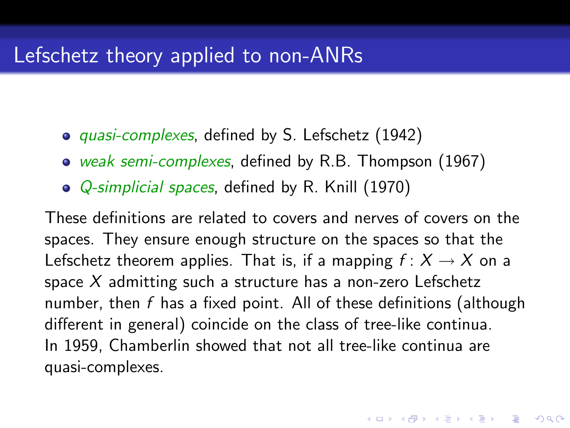- *quasi-complexes*, defined by S. Lefschetz (1942)
- weak semi-complexes, defined by R.B. Thompson (1967)
- *Q-simplicial spaces*, defined by R. Knill (1970)

These definitions are related to covers and nerves of covers on the spaces. They ensure enough structure on the spaces so that the Lefschetz theorem applies. That is, if a mapping  $f: X \rightarrow X$  on a space  $X$  admitting such a structure has a non-zero Lefschetz number, then  $f$  has a fixed point. All of these definitions (although different in general) coincide on the class of tree-like continua. In 1959, Chamberlin showed that not all tree-like continua are quasi-complexes.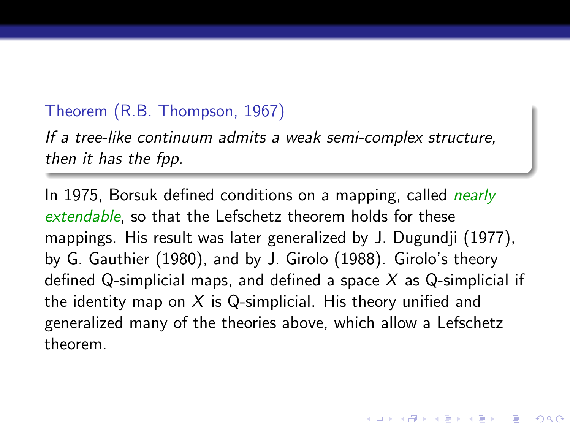#### Theorem (R.B. Thompson, 1967)

If a tree-like continuum admits a weak semi-complex structure, then it has the fpp.

In 1975, Borsuk defined conditions on a mapping, called *nearly* extendable, so that the Lefschetz theorem holds for these mappings. His result was later generalized by J. Dugundji (1977), by G. Gauthier (1980), and by J. Girolo (1988). Girolo's theory defined Q-simplicial maps, and defined a space  $X$  as Q-simplicial if the identity map on  $X$  is Q-simplicial. His theory unified and generalized many of the theories above, which allow a Lefschetz theorem.

**KORK EX KEY KEY YOUR**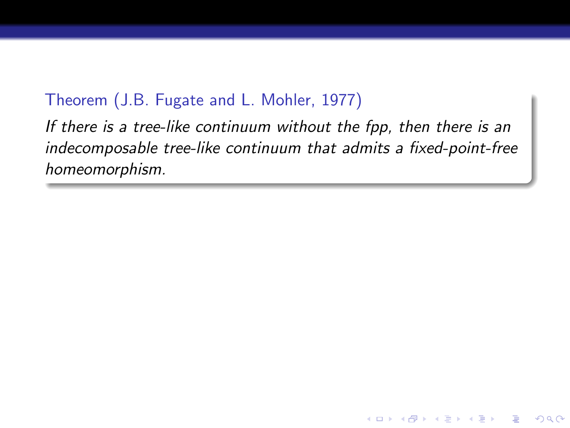#### Theorem (J.B. Fugate and L. Mohler, 1977)

If there is a tree-like continuum without the fpp, then there is an indecomposable tree-like continuum that admits a fixed-point-free homeomorphism.

**KORK ERKER EL ARA**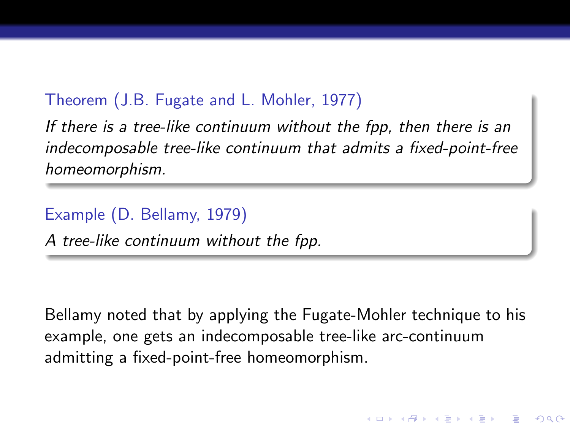#### Theorem (J.B. Fugate and L. Mohler, 1977)

If there is a tree-like continuum without the fpp, then there is an indecomposable tree-like continuum that admits a fixed-point-free homeomorphism.

Example (D. Bellamy, 1979)

A tree-like continuum without the fpp.

Bellamy noted that by applying the Fugate-Mohler technique to his example, one gets an indecomposable tree-like arc-continuum admitting a fixed-point-free homeomorphism.

**KORK EX KEY KEY YOUR**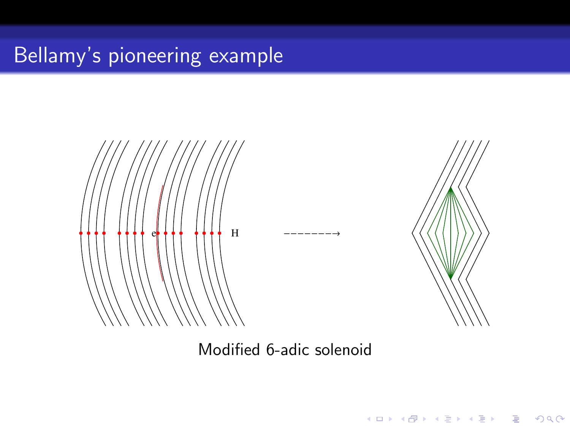# Bellamy's pioneering example





K ロ ▶ K @ ▶ K 할 > K 할 > 1 할 > 1 이익어

Modified 6-adic solenoid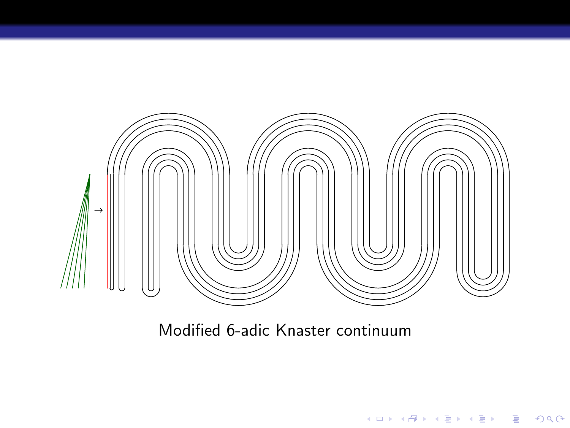

Modified 6-adic Knaster continuum

イロメ 不優 トイ選 トイ選 トー

活

 $299$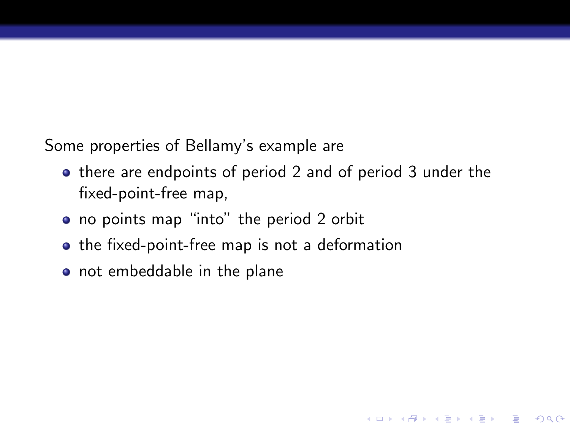Some properties of Bellamy's example are

• there are endpoints of period 2 and of period 3 under the fixed-point-free map,

**KORK EX KEY KEY YOUR** 

- no points map "into" the period 2 orbit
- the fixed-point-free map is not a deformation
- not embeddable in the plane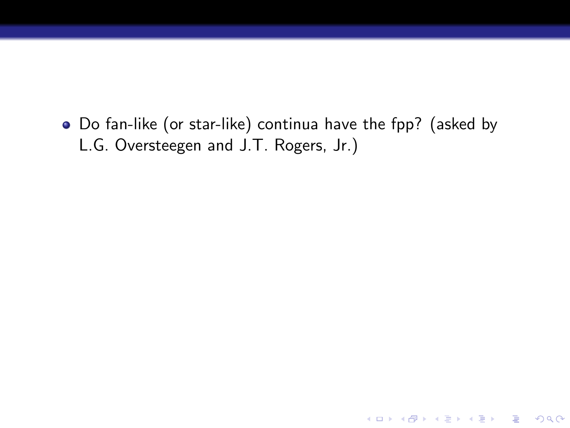Do fan-like (or star-like) continua have the fpp? (asked by L.G. Oversteegen and J.T. Rogers, Jr.)

K ロ ▶ K @ ▶ K 할 ▶ K 할 ▶ | 할 | © 9 Q @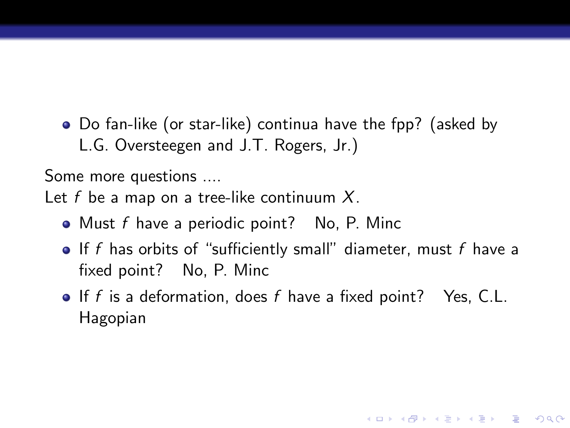Do fan-like (or star-like) continua have the fpp? (asked by L.G. Oversteegen and J.T. Rogers, Jr.)

Some more questions ....

Let  $f$  be a map on a tree-like continuum  $X$ .

- $\bullet$  Must f have a periodic point? No, P. Minc
- $\bullet$  If f has orbits of "sufficiently small" diameter, must f have a fixed point? No, P. Minc
- $\bullet$  If f is a deformation, does f have a fixed point? Yes, C.L. Hagopian

**KORK EX KEY KEY YOUR**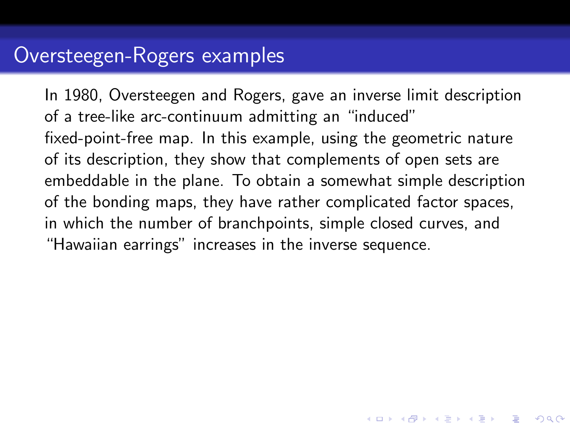## Oversteegen-Rogers examples

In 1980, Oversteegen and Rogers, gave an inverse limit description of a tree-like arc-continuum admitting an "induced" fixed-point-free map. In this example, using the geometric nature of its description, they show that complements of open sets are embeddable in the plane. To obtain a somewhat simple description of the bonding maps, they have rather complicated factor spaces, in which the number of branchpoints, simple closed curves, and "Hawaiian earrings" increases in the inverse sequence.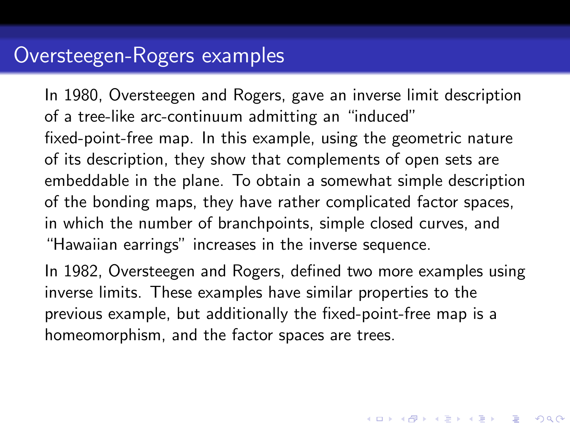## Oversteegen-Rogers examples

In 1980, Oversteegen and Rogers, gave an inverse limit description of a tree-like arc-continuum admitting an "induced" fixed-point-free map. In this example, using the geometric nature of its description, they show that complements of open sets are embeddable in the plane. To obtain a somewhat simple description of the bonding maps, they have rather complicated factor spaces, in which the number of branchpoints, simple closed curves, and "Hawaiian earrings" increases in the inverse sequence.

In 1982, Oversteegen and Rogers, defined two more examples using inverse limits. These examples have similar properties to the previous example, but additionally the fixed-point-free map is a homeomorphism, and the factor spaces are trees.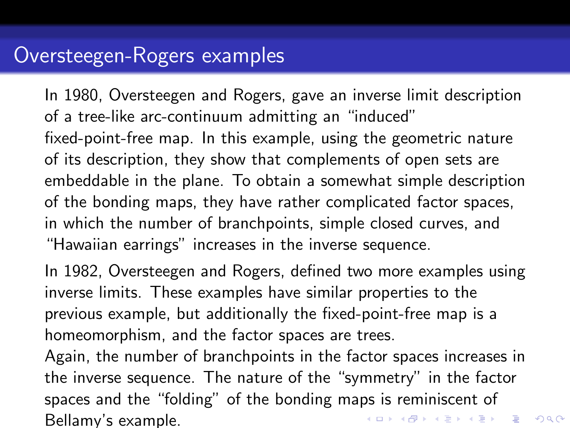## Oversteegen-Rogers examples

In 1980, Oversteegen and Rogers, gave an inverse limit description of a tree-like arc-continuum admitting an "induced" fixed-point-free map. In this example, using the geometric nature of its description, they show that complements of open sets are embeddable in the plane. To obtain a somewhat simple description of the bonding maps, they have rather complicated factor spaces, in which the number of branchpoints, simple closed curves, and "Hawaiian earrings" increases in the inverse sequence.

In 1982, Oversteegen and Rogers, defined two more examples using inverse limits. These examples have similar properties to the previous example, but additionally the fixed-point-free map is a homeomorphism, and the factor spaces are trees.

Again, the number of branchpoints in the factor spaces increases in the inverse sequence. The nature of the "symmetry" in the factor spaces and the "folding" of the bonding maps is reminiscent of .<br>◆ ロ ▶ → ④ ▶ → 글 ▶ → 글 ▶ │ 글 │ ◆) Q (◇ Bellamy's example.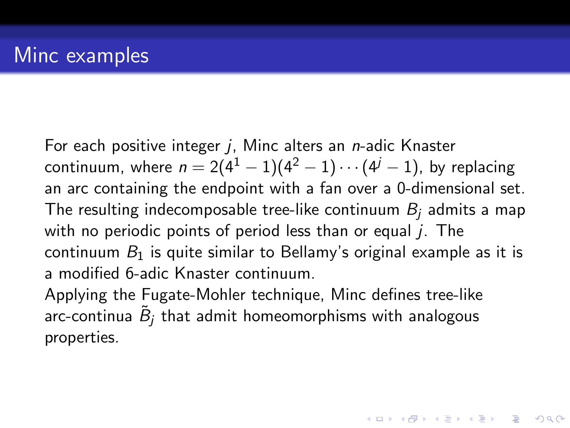For each positive integer  $j$ , Minc alters an *n*-adic Knaster continuum, where  $n = 2(4^1 - 1)(4^2 - 1) \cdots (4^j - 1)$ , by replacing an arc containing the endpoint with a fan over a 0-dimensional set. The resulting indecomposable tree-like continuum  $B_i$  admits a map with no periodic points of period less than or equal  $i$ . The continuum  $B_1$  is quite similar to Bellamy's original example as it is a modified 6-adic Knaster continuum.

**AD A 4 4 4 5 A 5 A 5 A 4 D A 4 D A 4 PM** 

Applying the Fugate-Mohler technique, Minc defines tree-like arc-continua  $\,\tilde B_j$  that admit homeomorphisms with analogous properties.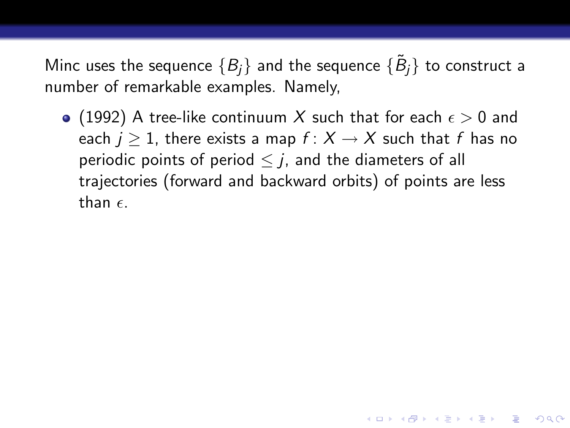• (1992) A tree-like continuum X such that for each  $\epsilon > 0$  and each  $j > 1$ , there exists a map  $f: X \rightarrow X$  such that f has no periodic points of period  $\leq i$ , and the diameters of all trajectories (forward and backward orbits) of points are less than  $\epsilon$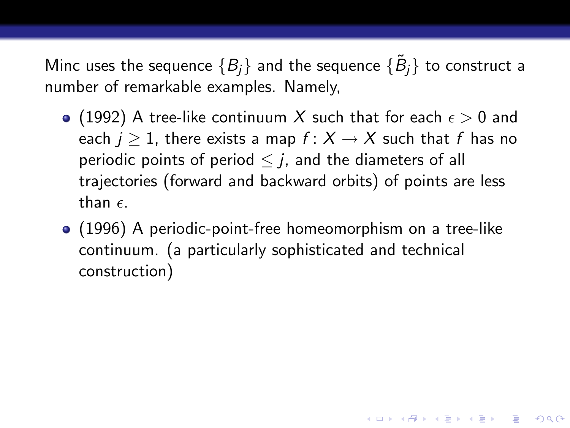- (1992) A tree-like continuum X such that for each  $\epsilon > 0$  and each  $j > 1$ , there exists a map  $f: X \rightarrow X$  such that f has no periodic points of period  $\leq i$ , and the diameters of all trajectories (forward and backward orbits) of points are less than  $\epsilon$
- (1996) A periodic-point-free homeomorphism on a tree-like continuum. (a particularly sophisticated and technical construction)

**KORKAR KERKER E VOOR**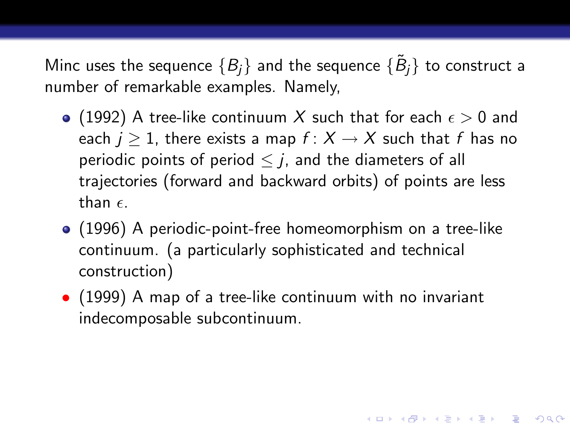- (1992) A tree-like continuum X such that for each  $\epsilon > 0$  and each  $j > 1$ , there exists a map  $f: X \rightarrow X$  such that f has no periodic points of period  $\leq i$ , and the diameters of all trajectories (forward and backward orbits) of points are less than  $\epsilon$
- (1996) A periodic-point-free homeomorphism on a tree-like continuum. (a particularly sophisticated and technical construction)
- (1999) A map of a tree-like continuum with no invariant indecomposable subcontinuum.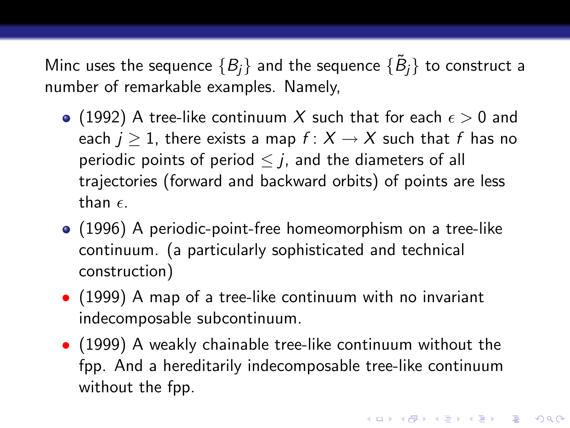- (1992) A tree-like continuum X such that for each  $\epsilon > 0$  and each  $j > 1$ , there exists a map  $f: X \rightarrow X$  such that f has no periodic points of period  $\leq i$ , and the diameters of all trajectories (forward and backward orbits) of points are less than  $\epsilon$
- (1996) A periodic-point-free homeomorphism on a tree-like continuum. (a particularly sophisticated and technical construction)
- (1999) A map of a tree-like continuum with no invariant indecomposable subcontinuum.
- (1999) A weakly chainable tree-like continuum without the fpp. And a hereditarily indecomposable tree-like continuum without the fpp.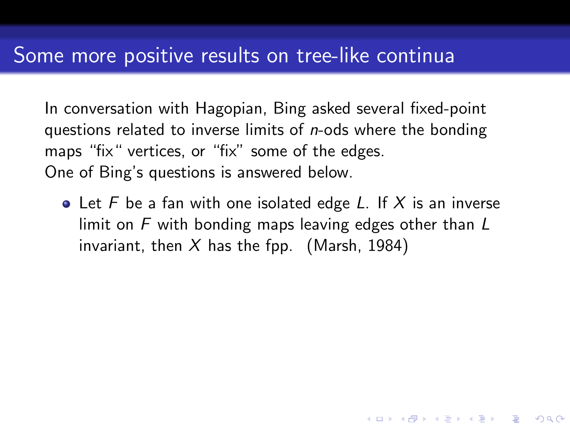In conversation with Hagopian, Bing asked several fixed-point questions related to inverse limits of *n*-ods where the bonding maps "fix" vertices, or "fix" some of the edges. One of Bing's questions is answered below.

• Let F be a fan with one isolated edge L. If X is an inverse limit on F with bonding maps leaving edges other than L invariant, then X has the fpp. (Marsh, 1984)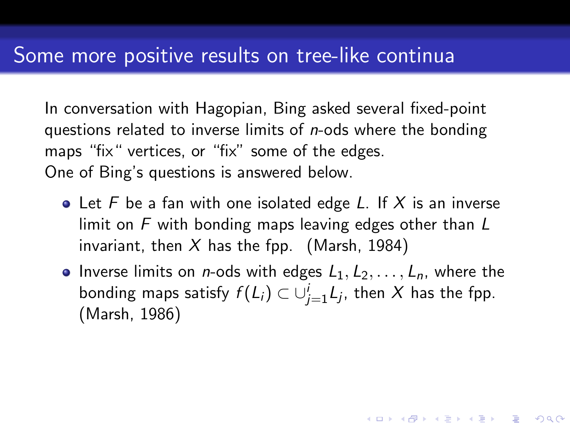In conversation with Hagopian, Bing asked several fixed-point questions related to inverse limits of *n*-ods where the bonding maps "fix" vertices, or "fix" some of the edges. One of Bing's questions is answered below.

- Let F be a fan with one isolated edge L. If X is an inverse limit on  $F$  with bonding maps leaving edges other than  $L$ invariant, then X has the fpp. (Marsh, 1984)
- Inverse limits on *n*-ods with edges  $L_1, L_2, \ldots, L_n$ , where the bonding maps satisfy  $f(L_i)\subset \cup_{j=1}^i L_j$ , then  $X$  has the fpp. (Marsh, 1986)

**KORKAR KERKER E VOOR**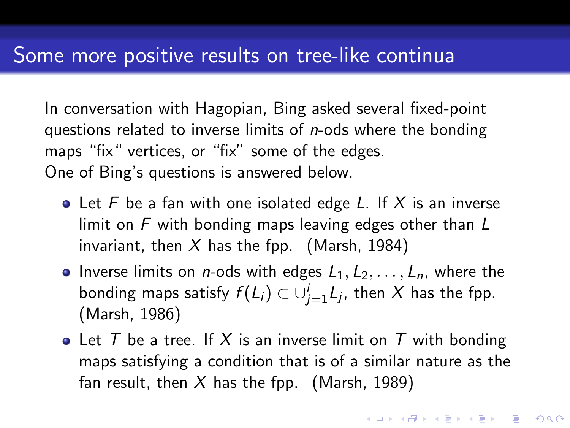In conversation with Hagopian, Bing asked several fixed-point questions related to inverse limits of *n*-ods where the bonding maps "fix" vertices, or "fix" some of the edges. One of Bing's questions is answered below.

- Let F be a fan with one isolated edge L. If X is an inverse limit on F with bonding maps leaving edges other than L invariant, then X has the fpp. (Marsh, 1984)
- Inverse limits on *n*-ods with edges  $L_1, L_2, \ldots, L_n$ , where the bonding maps satisfy  $f(L_i)\subset \cup_{j=1}^i L_j$ , then  $X$  has the fpp. (Marsh, 1986)
- Let T be a tree. If X is an inverse limit on T with bonding maps satisfying a condition that is of a similar nature as the fan result, then X has the fpp. (Marsh, 1989)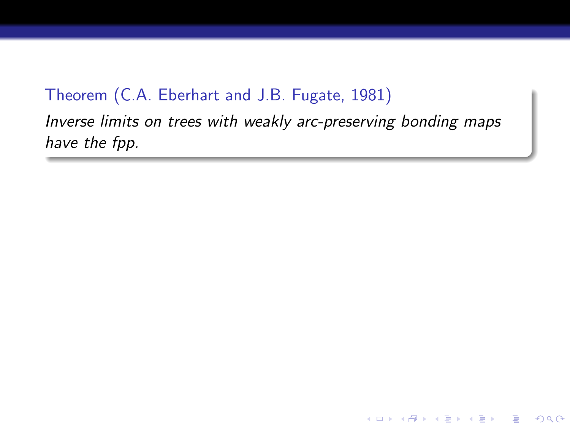### Theorem (C.A. Eberhart and J.B. Fugate, 1981)

Inverse limits on trees with weakly arc-preserving bonding maps have the fpp.

**KOD KARD KED KED E YORA**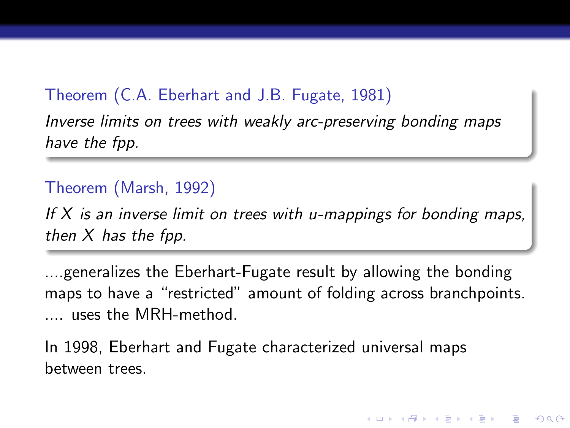### Theorem (C.A. Eberhart and J.B. Fugate, 1981)

Inverse limits on trees with weakly arc-preserving bonding maps have the fpp.

#### Theorem (Marsh, 1992)

If  $X$  is an inverse limit on trees with u-mappings for bonding maps, then  $X$  has the fpp.

....generalizes the Eberhart-Fugate result by allowing the bonding maps to have a "restricted" amount of folding across branchpoints. .... uses the MRH-method.

K ロ ▶ K @ ▶ K 할 ▶ K 할 ▶ 이 할 → 9 Q @

In 1998, Eberhart and Fugate characterized universal maps between trees.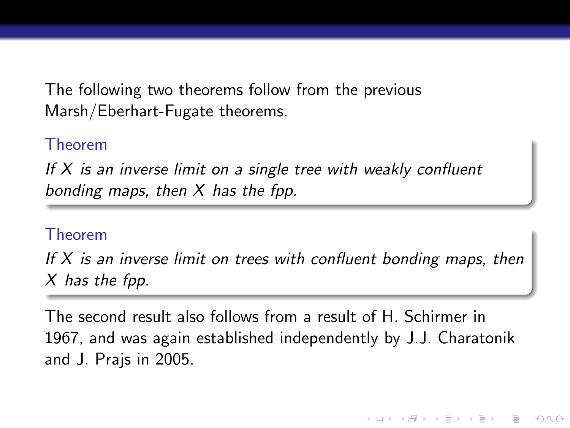The following two theorems follow from the previous Marsh/Eberhart-Fugate theorems.

#### Theorem

If  $X$  is an inverse limit on a single tree with weakly confluent bonding maps, then  $X$  has the fpp.

#### Theorem

If  $X$  is an inverse limit on trees with confluent bonding maps, then X has the fpp.

The second result also follows from a result of H. Schirmer in 1967, and was again established independently by J.J. Charatonik and J. Prajs in 2005.

K ロ ▶ K @ ▶ K 할 ▶ K 할 ▶ 이 할 → 9 Q @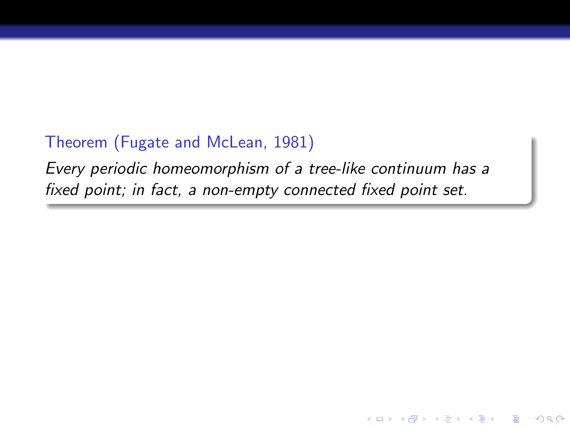### Theorem (Fugate and McLean, 1981)

Every periodic homeomorphism of a tree-like continuum has a fixed point; in fact, a non-empty connected fixed point set.

 $\mathbf{A} \equiv \mathbf{A} + \mathbf{A} + \mathbf{A} + \mathbf{A} + \mathbf{A} + \mathbf{A} + \mathbf{A} + \mathbf{A} + \mathbf{A} + \mathbf{A} + \mathbf{A} + \mathbf{A} + \mathbf{A} + \mathbf{A} + \mathbf{A} + \mathbf{A} + \mathbf{A} + \mathbf{A} + \mathbf{A} + \mathbf{A} + \mathbf{A} + \mathbf{A} + \mathbf{A} + \mathbf{A} + \mathbf{A} + \mathbf{A} + \mathbf{A} + \mathbf{A} + \mathbf{A} + \mathbf{A} + \math$ 

 $QQ$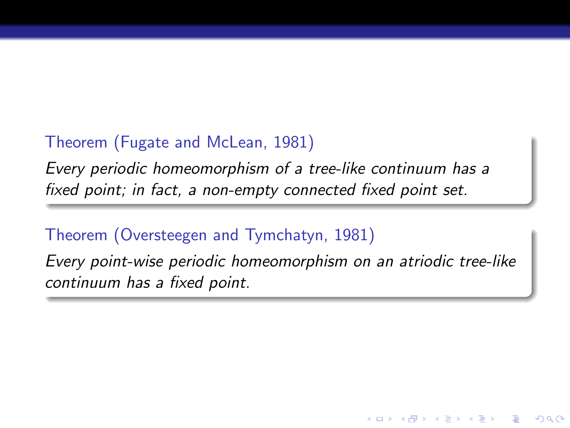### Theorem (Fugate and McLean, 1981)

Every periodic homeomorphism of a tree-like continuum has a fixed point; in fact, a non-empty connected fixed point set.

### Theorem (Oversteegen and Tymchatyn, 1981)

Every point-wise periodic homeomorphism on an atriodic tree-like continuum has a fixed point.

**モロン マ何 メ マ チ メ ヨ メ ニ ヨ** 

 $2990$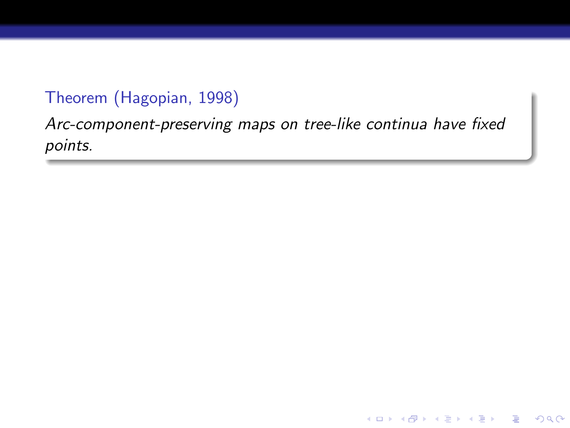### Theorem (Hagopian, 1998)

Arc-component-preserving maps on tree-like continua have fixed points.

K ロ ▶ K @ ▶ K 할 > K 할 > 1 할 > 1 이익어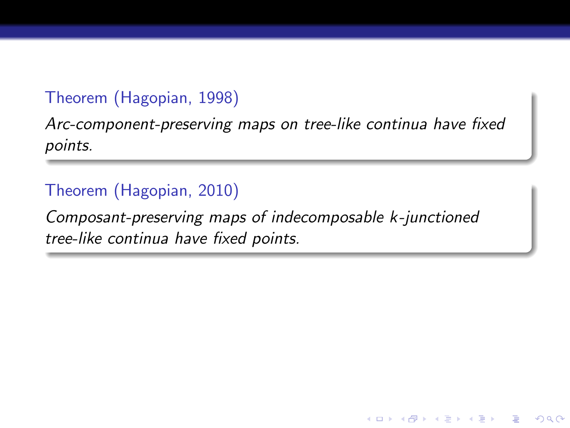### Theorem (Hagopian, 1998)

Arc-component-preserving maps on tree-like continua have fixed points.

### Theorem (Hagopian, 2010)

Composant-preserving maps of indecomposable k-junctioned tree-like continua have fixed points.

 $\mathbf{A} \equiv \mathbf{A} + \mathbf{A} + \mathbf{A} + \mathbf{A} + \mathbf{A} + \mathbf{A} + \mathbf{A} + \mathbf{A} + \mathbf{A} + \mathbf{A} + \mathbf{A} + \mathbf{A} + \mathbf{A} + \mathbf{A} + \mathbf{A} + \mathbf{A} + \mathbf{A} + \mathbf{A} + \mathbf{A} + \mathbf{A} + \mathbf{A} + \mathbf{A} + \mathbf{A} + \mathbf{A} + \mathbf{A} + \mathbf{A} + \mathbf{A} + \mathbf{A} + \mathbf{A} + \mathbf{A} + \math$ 

 $\Omega$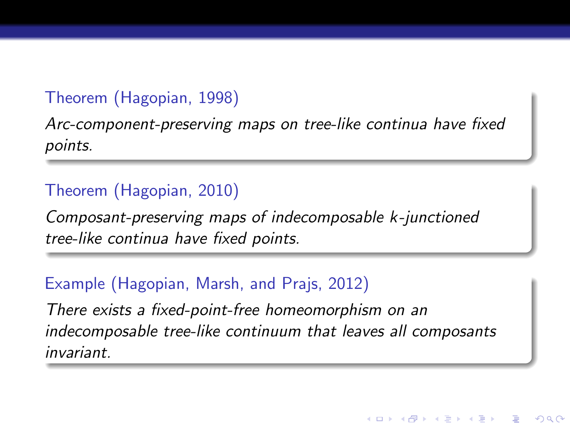### Theorem (Hagopian, 1998)

Arc-component-preserving maps on tree-like continua have fixed points.

### Theorem (Hagopian, 2010)

Composant-preserving maps of indecomposable k-junctioned tree-like continua have fixed points.

#### Example (Hagopian, Marsh, and Prajs, 2012)

There exists a fixed-point-free homeomorphism on an indecomposable tree-like continuum that leaves all composants invariant.

**KORK ERKER EL ARA**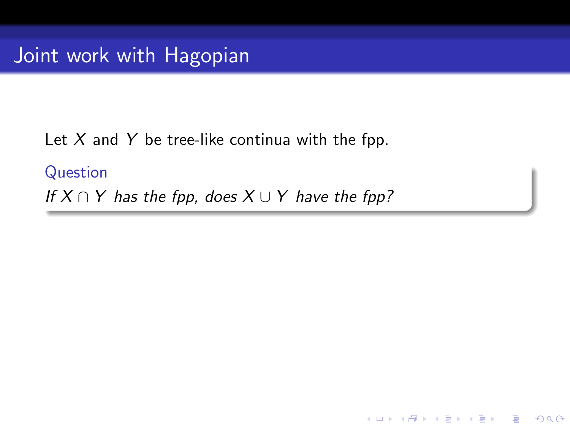Let  $X$  and  $Y$  be tree-like continua with the fpp.

Question If  $X \cap Y$  has the fpp, does  $X \cup Y$  have the fpp?

K ロ ▶ K @ ▶ K 할 > K 할 > 1 할 > 1 이익어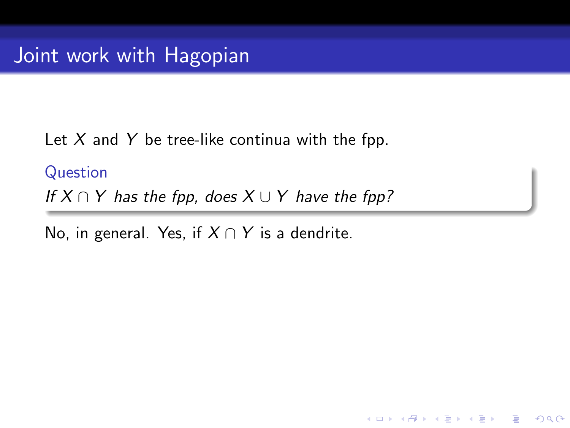Let  $X$  and  $Y$  be tree-like continua with the fpp.

Question If  $X \cap Y$  has the fpp, does  $X \cup Y$  have the fpp?

K ロ ▶ K @ ▶ K 할 ▶ K 할 ▶ 이 할 → 9 Q @

No, in general. Yes, if  $X \cap Y$  is a dendrite.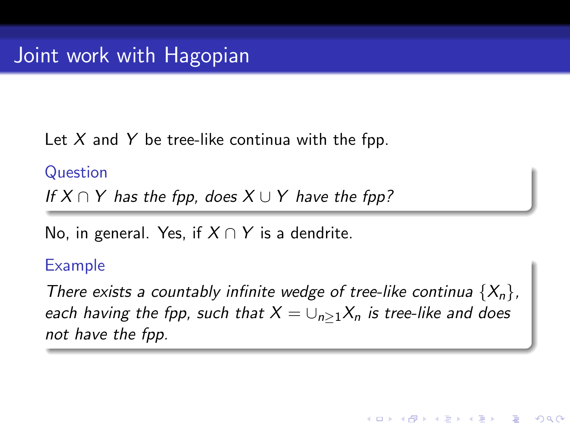Let  $X$  and  $Y$  be tree-like continua with the fpp.

Question If  $X \cap Y$  has the fop, does  $X \cup Y$  have the fop?

No, in general. Yes, if  $X \cap Y$  is a dendrite.

#### Example

There exists a countably infinite wedge of tree-like continua  $\{X_n\}$ , each having the fpp, such that  $X = \bigcup_{n>1} X_n$  is tree-like and does not have the fpp.

4 0 > 4 4 + 4 3 + 4 3 + 5 + 9 4 0 +